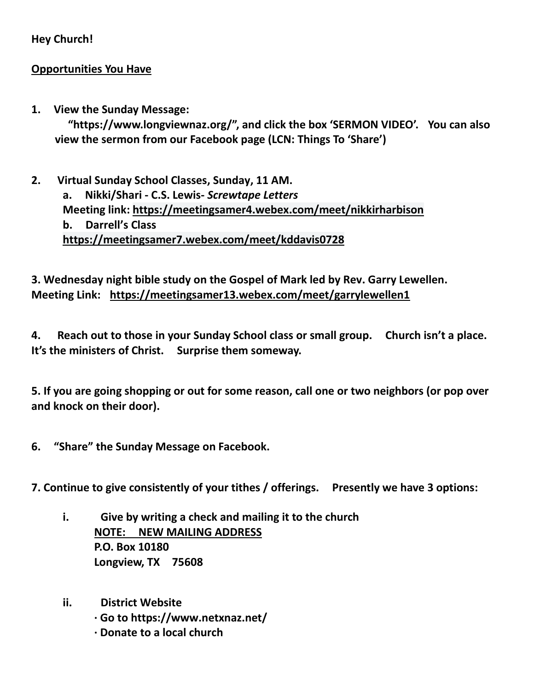## **Hey Church!**

### **Opportunities You Have**

**1. View the Sunday Message:**

 **"https://www.longviewnaz.org/", and click the box 'SERMON VIDEO'. You can also view the sermon from our Facebook page (LCN: Things To 'Share')**

**2. Virtual Sunday School Classes, Sunday, 11 AM. a. Nikki/Shari - C.S. Lewis-** *Screwtape Letters* **Meeting link:<https://meetingsamer4.webex.com/meet/nikkirharbison> b. Darrell's Class <https://meetingsamer7.webex.com/meet/kddavis0728>**

# **3. Wednesday night bible study on the Gospel of Mark led by Rev. Garry Lewellen. Meeting Link: <https://meetingsamer13.webex.com/meet/garrylewellen1>**

**4. Reach out to those in your Sunday School class or small group. Church isn't a place. It's the ministers of Christ. Surprise them someway.** 

**5. If you are going shopping or out for some reason, call one or two neighbors (or pop over and knock on their door).** 

**6. "Share" the Sunday Message on Facebook.**

**7. Continue to give consistently of your tithes / offerings. Presently we have 3 options:**

- **i. Give by writing a check and mailing it to the church NOTE: NEW MAILING ADDRESS P.O. Box 10180 Longview, TX 75608**
- **ii. District Website**
	- **· Go to https://www.netxnaz.net/**
	- **· Donate to a local church**